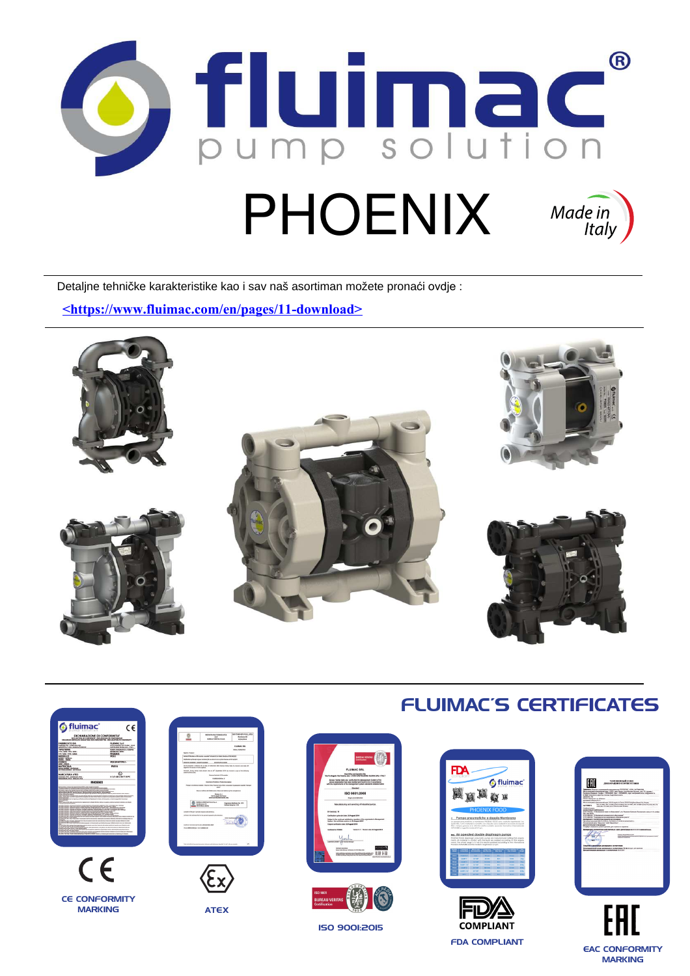

Detaljne tehničke karakteristike kao i sav naš asortiman možete pronaći ovdje :

**<https://www.fluimac.com/en/pages/11-download>**





EAC CONFORMITY **MARKING**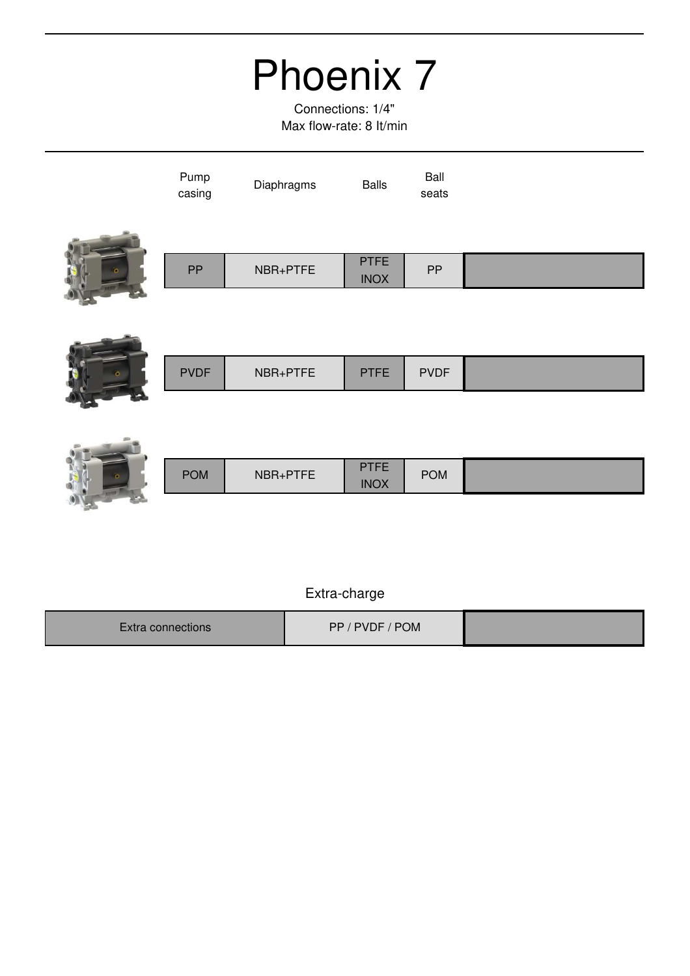Connections: 1/4" Max flow-rate: 8 It/min

|          | Pump<br>casing | Diaphragms | <b>Balls</b>               | Ball<br>seats |  |
|----------|----------------|------------|----------------------------|---------------|--|
| $\alpha$ | PP             | NBR+PTFE   | <b>PTFE</b><br><b>INOX</b> | PP            |  |
|          |                |            |                            |               |  |



|   | <b>PVDF</b> | NBR+PTFE | <b>PTFE</b> | <b>PVDF</b> |  |
|---|-------------|----------|-------------|-------------|--|
| ๛ |             |          |             |             |  |



|     |            |          | TCT<br>. .  |            |  |
|-----|------------|----------|-------------|------------|--|
|     | <b>POM</b> | NBR+PTFE | <b>INOX</b> | <b>POM</b> |  |
| . . |            |          |             |            |  |

| Extra connections l | PVDF / POM<br>PP, |  |
|---------------------|-------------------|--|
|                     |                   |  |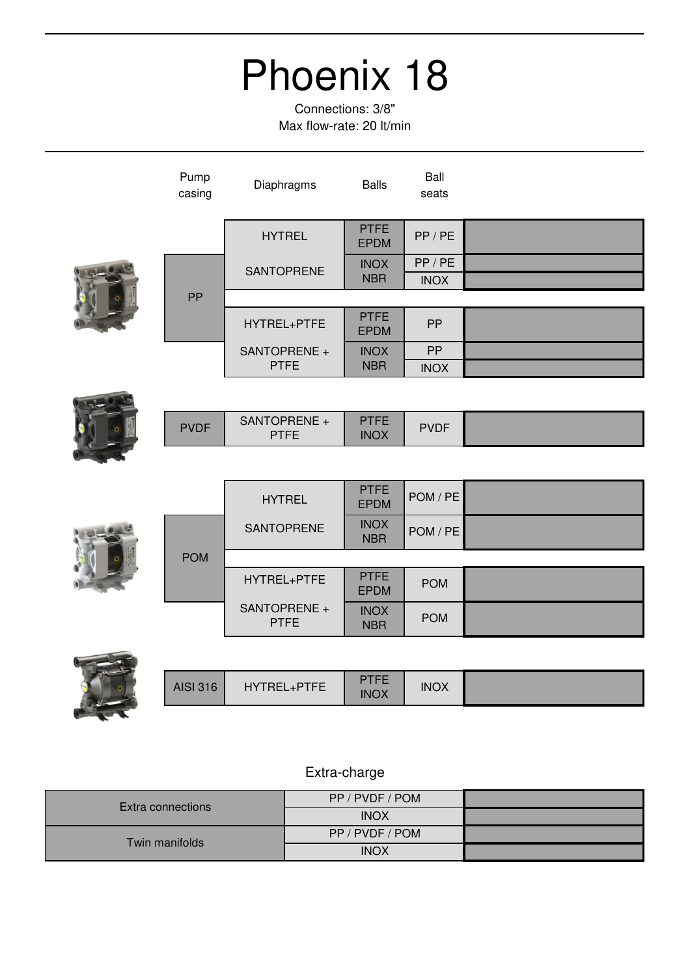Connections: 3/8" Max flow-rate: 20 lt/min

| Pump<br>casing  | Diaphragms                  | <b>Balls</b>               | Ball<br>seats |  |
|-----------------|-----------------------------|----------------------------|---------------|--|
|                 | <b>HYTREL</b>               | <b>PTFE</b><br><b>EPDM</b> | PP / PE       |  |
|                 | <b>SANTOPRENE</b>           | <b>INOX</b>                | PP / PE       |  |
|                 |                             | <b>NBR</b>                 | <b>INOX</b>   |  |
| PP              |                             |                            |               |  |
|                 | HYTREL+PTFE                 | <b>PTFE</b><br><b>EPDM</b> | PP            |  |
|                 | SANTOPRENE +                | <b>INOX</b>                | PP            |  |
|                 | <b>PTFE</b>                 | <b>NBR</b>                 | <b>INOX</b>   |  |
|                 |                             |                            |               |  |
| <b>PVDF</b>     | SANTOPRENE +<br><b>PTFE</b> | <b>PTFE</b><br><b>INOX</b> | <b>PVDF</b>   |  |
|                 |                             |                            |               |  |
|                 | <b>HYTREL</b>               | <b>PTFE</b><br><b>EPDM</b> | POM / PE      |  |
|                 | SANTOPRENE                  | <b>INOX</b><br><b>NBR</b>  | POM / PE      |  |
| <b>POM</b>      |                             |                            |               |  |
|                 | HYTREL+PTFE                 | <b>PTFE</b><br><b>EPDM</b> | <b>POM</b>    |  |
|                 | SANTOPRENE +<br><b>PTFE</b> | <b>INOX</b><br><b>NBR</b>  | <b>POM</b>    |  |
|                 |                             |                            |               |  |
| <b>AISI 316</b> | HYTREL+PTFE                 | <b>PTFE</b><br><b>INOX</b> | <b>INOX</b>   |  |

|                   | PP / PVDF / POM |  |
|-------------------|-----------------|--|
| Extra connections | <b>INOX</b>     |  |
| Twin manifolds    | PP / PVDF / POM |  |
|                   | <b>INOX</b>     |  |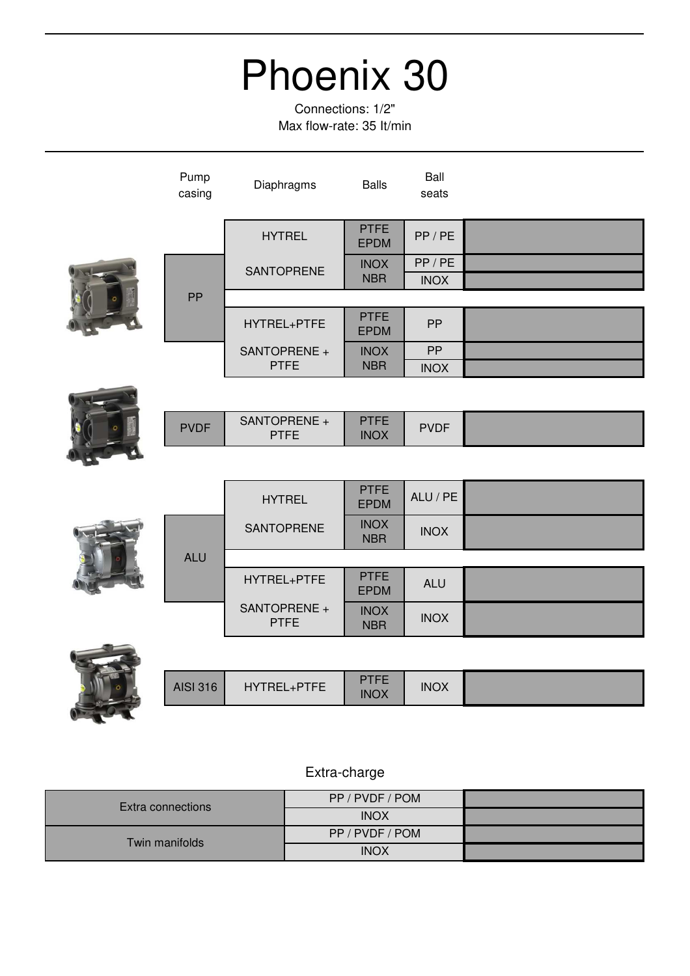Connections: 1/2" Max flow-rate: 35 It/min

| Pump<br>casing  | Diaphragms                  | <b>Balls</b>               | Ball<br>seats |  |
|-----------------|-----------------------------|----------------------------|---------------|--|
|                 | <b>HYTREL</b>               | <b>PTFE</b><br><b>EPDM</b> | PP/PE         |  |
|                 | SANTOPRENE                  | <b>INOX</b>                | PP/PE         |  |
|                 |                             | <b>NBR</b>                 | <b>INOX</b>   |  |
| PP              |                             |                            |               |  |
|                 | HYTREL+PTFE                 | <b>PTFE</b><br><b>EPDM</b> | PP            |  |
|                 | SANTOPRENE +                | <b>INOX</b>                | PP            |  |
|                 | <b>PTFE</b>                 | <b>NBR</b>                 | <b>INOX</b>   |  |
|                 |                             |                            |               |  |
| <b>PVDF</b>     | SANTOPRENE +<br><b>PTFE</b> | <b>PTFE</b><br><b>INOX</b> | <b>PVDF</b>   |  |
|                 |                             |                            |               |  |
|                 | <b>HYTREL</b>               | <b>PTFE</b><br><b>EPDM</b> | ALU / PE      |  |
|                 | <b>SANTOPRENE</b>           | <b>INOX</b><br><b>NBR</b>  | <b>INOX</b>   |  |
| <b>ALU</b>      |                             |                            |               |  |
|                 | HYTREL+PTFE                 | <b>PTFE</b><br><b>EPDM</b> | <b>ALU</b>    |  |
|                 | SANTOPRENE +<br><b>PTFE</b> | <b>INOX</b><br><b>NBR</b>  | <b>INOX</b>   |  |
|                 |                             |                            |               |  |
| <b>AISI 316</b> | HYTREL+PTFE                 | <b>PTFE</b><br><b>INOX</b> | <b>INOX</b>   |  |

### Extra-charge

K

|                   | PP / PVDF / POM |  |
|-------------------|-----------------|--|
| Extra connections | <b>INOX</b>     |  |
| Twin manifolds    | PP / PVDF / POM |  |
|                   | <b>INOX</b>     |  |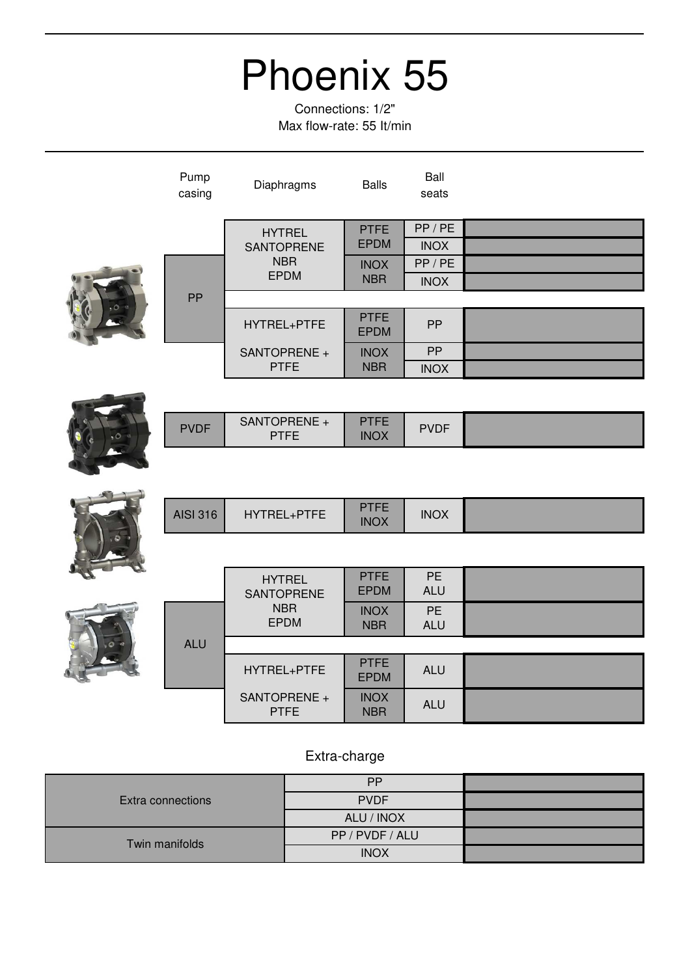Connections: 1/2" Max flow-rate: 55 It/min

| Pump<br>casing  | Diaphragms                         | <b>Balls</b>               | Ball<br>seats           |  |
|-----------------|------------------------------------|----------------------------|-------------------------|--|
|                 | <b>HYTREL</b>                      | <b>PTFE</b><br><b>EPDM</b> | PP/PE                   |  |
|                 | <b>SANTOPRENE</b><br><b>NBR</b>    | <b>INOX</b>                | <b>INOX</b><br>PP / PE  |  |
|                 | <b>EPDM</b>                        | <b>NBR</b>                 | <b>INOX</b>             |  |
| PP              |                                    |                            |                         |  |
|                 | HYTREL+PTFE                        | <b>PTFE</b><br><b>EPDM</b> | PP                      |  |
|                 | SANTOPRENE +                       | <b>INOX</b>                | PP                      |  |
|                 | <b>PTFE</b>                        | <b>NBR</b>                 | <b>INOX</b>             |  |
|                 |                                    |                            |                         |  |
| <b>PVDF</b>     | SANTOPRENE +<br><b>PTFE</b>        | <b>PTFE</b><br><b>INOX</b> | <b>PVDF</b>             |  |
|                 |                                    |                            |                         |  |
| <b>AISI 316</b> | HYTREL+PTFE                        | <b>PTFE</b><br><b>INOX</b> | <b>INOX</b>             |  |
|                 |                                    |                            |                         |  |
|                 | <b>HYTREL</b><br><b>SANTOPRENE</b> | <b>PTFE</b><br><b>EPDM</b> | <b>PE</b><br><b>ALU</b> |  |
|                 | <b>NBR</b><br><b>EPDM</b>          | <b>INOX</b><br><b>NBR</b>  | <b>PE</b><br><b>ALU</b> |  |
| <b>ALU</b>      |                                    |                            |                         |  |
|                 | HYTREL+PTFE                        | <b>PTFE</b><br><b>EPDM</b> | <b>ALU</b>              |  |
|                 | SANTOPRENE +<br><b>PTFE</b>        | <b>INOX</b><br><b>NBR</b>  | <b>ALU</b>              |  |

| <b>Extra connections</b> | <b>PP</b>       |  |
|--------------------------|-----------------|--|
|                          | <b>PVDF</b>     |  |
|                          | ALU / INOX      |  |
| Twin manifolds           | PP / PVDF / ALU |  |
|                          | <b>INOX</b>     |  |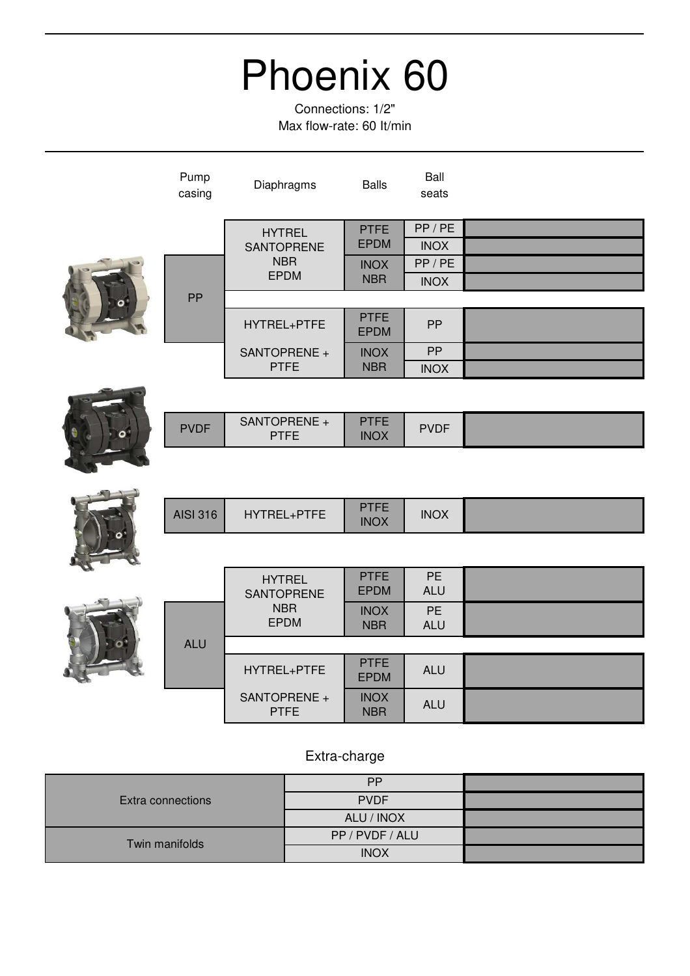Connections: 1/2" Max flow-rate: 60 It/min

| Pump<br>casing  | Diaphragms                         | <b>Balls</b>               | Ball<br>seats           |  |
|-----------------|------------------------------------|----------------------------|-------------------------|--|
|                 | <b>HYTREL</b><br><b>SANTOPRENE</b> | <b>PTFE</b><br><b>EPDM</b> | PP/PE<br><b>INOX</b>    |  |
|                 | <b>NBR</b><br><b>EPDM</b>          | <b>INOX</b><br><b>NBR</b>  | PP/PE<br><b>INOX</b>    |  |
| <b>PP</b>       |                                    |                            |                         |  |
|                 | HYTREL+PTFE                        | <b>PTFE</b><br><b>EPDM</b> | PP                      |  |
|                 | SANTOPRENE +                       | <b>INOX</b>                | PP                      |  |
|                 | <b>PTFE</b>                        | <b>NBR</b>                 | <b>INOX</b>             |  |
|                 |                                    |                            |                         |  |
| <b>PVDF</b>     | SANTOPRENE +<br><b>PTFE</b>        | <b>PTFE</b><br><b>INOX</b> | <b>PVDF</b>             |  |
|                 |                                    |                            |                         |  |
| <b>AISI 316</b> | HYTREL+PTFE                        | <b>PTFE</b><br><b>INOX</b> | <b>INOX</b>             |  |
|                 |                                    |                            |                         |  |
|                 | <b>HYTREL</b><br><b>SANTOPRENE</b> | <b>PTFE</b><br><b>EPDM</b> | PE<br><b>ALU</b>        |  |
|                 | <b>NBR</b><br><b>EPDM</b>          | <b>INOX</b><br><b>NBR</b>  | <b>PE</b><br><b>ALU</b> |  |
| <b>ALU</b>      |                                    |                            |                         |  |
|                 | HYTREL+PTFE                        | <b>PTFE</b><br><b>EPDM</b> | <b>ALU</b>              |  |
|                 | SANTOPRENE +<br><b>PTFE</b>        | <b>INOX</b><br><b>NBR</b>  | <b>ALU</b>              |  |
|                 |                                    |                            |                         |  |

| Extra connections | <b>PP</b>       |  |
|-------------------|-----------------|--|
|                   | <b>PVDF</b>     |  |
|                   | ALU / INOX      |  |
| Twin manifolds    | PP / PVDF / ALU |  |
|                   | <b>INOX</b>     |  |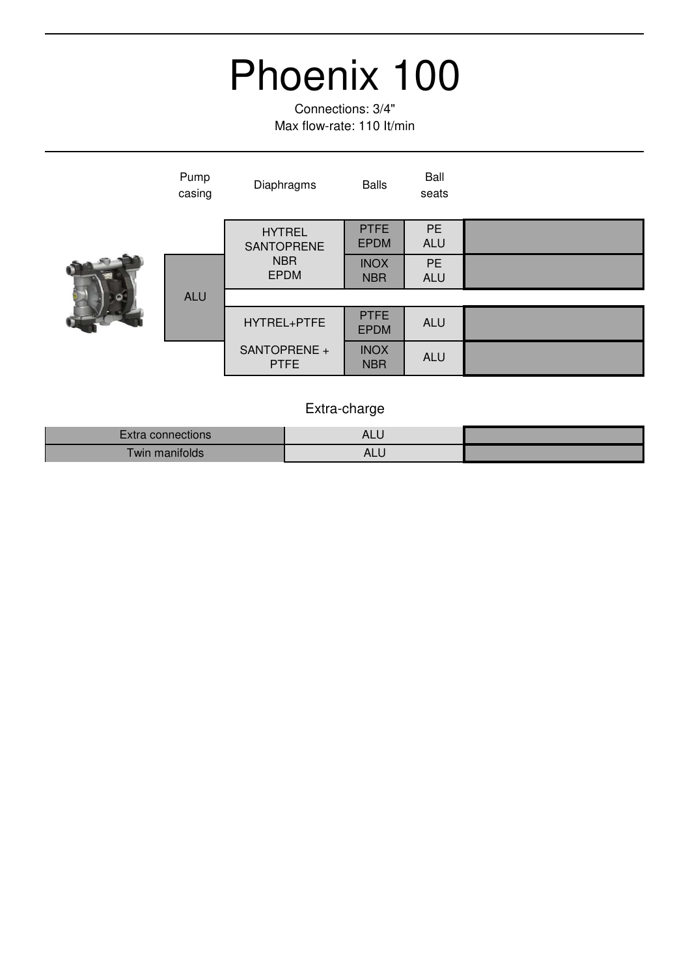Connections: 3/4" Max flow-rate: 110 It/min

| Pump<br>casing | Diaphragms                  | <b>Balls</b>               | Ball<br>seats           |  |
|----------------|-----------------------------|----------------------------|-------------------------|--|
|                | <b>HYTREL</b><br>SANTOPRENE | <b>PTFE</b><br><b>EPDM</b> | <b>PE</b><br><b>ALU</b> |  |
|                | <b>NBR</b><br><b>EPDM</b>   | <b>INOX</b><br><b>NBR</b>  | <b>PE</b><br><b>ALU</b> |  |
| <b>ALU</b>     |                             |                            |                         |  |
|                | HYTREL+PTFE                 | <b>PTFE</b><br><b>EPDM</b> | <b>ALU</b>              |  |
|                | SANTOPRENE +<br><b>PTFE</b> | <b>INOX</b><br><b>NBR</b>  | <b>ALU</b>              |  |

| connections<br>∠xtra | ALL                     |  |
|----------------------|-------------------------|--|
| Vin manifolds        | $\Lambda$<br><b>ALC</b> |  |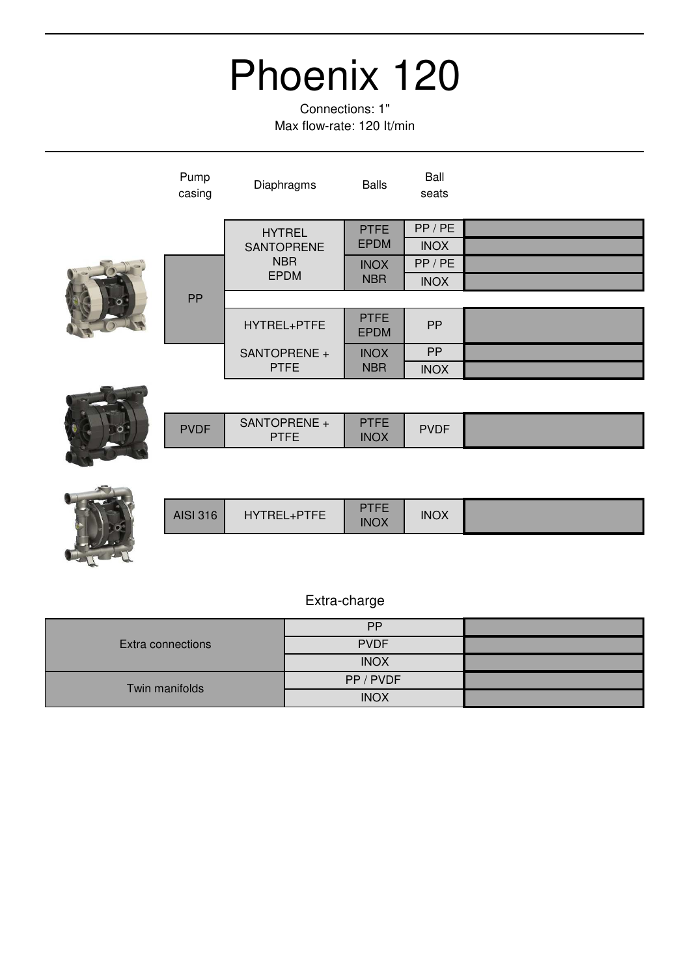Connections: 1" Max flow-rate: 120 It/min

|  | Pump<br>casing | Diaphragms                  | <b>Balls</b>               | Ball<br>seats |  |
|--|----------------|-----------------------------|----------------------------|---------------|--|
|  |                | <b>HYTREL</b>               | <b>PTFE</b>                | PP/PE         |  |
|  |                | <b>SANTOPRENE</b>           | <b>EPDM</b>                | <b>INOX</b>   |  |
|  |                | <b>NBR</b>                  | <b>INOX</b>                | PP/PE         |  |
|  | <b>PP</b>      | <b>EPDM</b>                 | <b>NBR</b>                 | <b>INOX</b>   |  |
|  |                |                             |                            |               |  |
|  |                | HYTREL+PTFE                 | <b>PTFE</b><br><b>EPDM</b> | <b>PP</b>     |  |
|  |                | SANTOPRENE +                | <b>INOX</b>                | <b>PP</b>     |  |
|  |                | <b>PTFE</b>                 | <b>NBR</b>                 | <b>INOX</b>   |  |
|  |                |                             |                            |               |  |
|  | <b>PVDF</b>    | SANTOPRENE +<br><b>PTFE</b> | <b>PTFE</b><br><b>INOX</b> | <b>PVDF</b>   |  |



**BANK CA** 

| <b>AISI 316</b><br>HYTREL+PTFE | 'FE<br><b>INOX</b> | <b>INOX</b> |  |
|--------------------------------|--------------------|-------------|--|
|--------------------------------|--------------------|-------------|--|

| Extra connections | <b>PP</b>   |  |
|-------------------|-------------|--|
|                   | <b>PVDF</b> |  |
|                   | <b>INOX</b> |  |
| Twin manifolds    | PP / PVDF   |  |
|                   | <b>INOX</b> |  |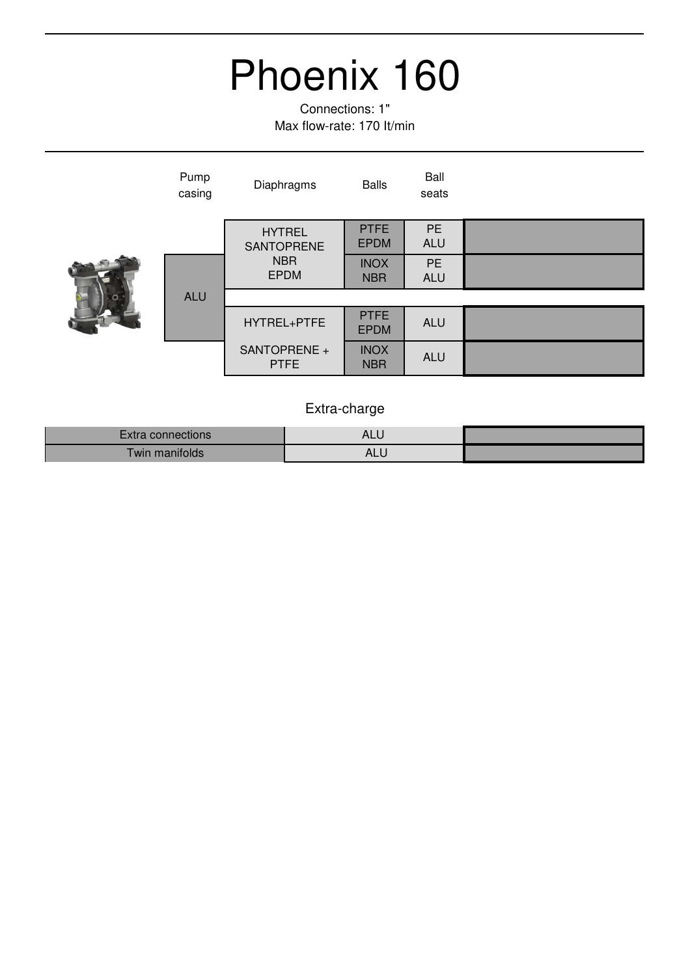Connections: 1" Max flow-rate: 170 It/min

| Pump<br>casing | Diaphragms                  | <b>Balls</b>               | Ball<br>seats           |  |
|----------------|-----------------------------|----------------------------|-------------------------|--|
|                | <b>HYTREL</b><br>SANTOPRENE | <b>PTFE</b><br><b>EPDM</b> | <b>PE</b><br><b>ALU</b> |  |
|                | <b>NBR</b><br><b>EPDM</b>   | <b>INOX</b><br><b>NBR</b>  | <b>PE</b><br><b>ALU</b> |  |
| <b>ALU</b>     |                             |                            |                         |  |
|                | HYTREL+PTFE                 | <b>PTFE</b><br><b>EPDM</b> | <b>ALU</b>              |  |
|                | SANTOPRENE +<br><b>PTFE</b> | <b>INOX</b><br><b>NBR</b>  | ALU                     |  |

| connections             | ┑∟∟            |  |
|-------------------------|----------------|--|
| <b>WIN</b><br>manitolds | $\Delta$<br>ு. |  |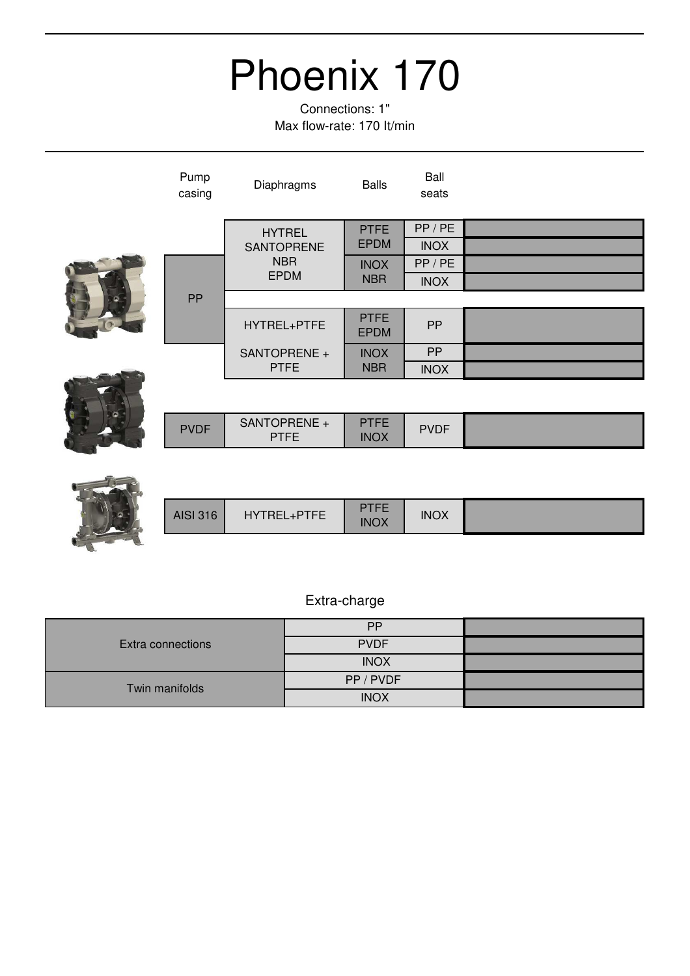Connections: 1" Max flow-rate: 170 It/min

| Pump<br>casing | Diaphragms                  | <b>Balls</b>               | Ball<br>seats |  |
|----------------|-----------------------------|----------------------------|---------------|--|
|                | <b>HYTREL</b>               | <b>PTFE</b>                | PP/PE         |  |
|                | SANTOPRENE                  | <b>EPDM</b>                | <b>INOX</b>   |  |
|                | <b>NBR</b>                  | <b>INOX</b>                | PP/PE         |  |
|                | <b>EPDM</b>                 | <b>NBR</b>                 | <b>INOX</b>   |  |
| PP             |                             |                            |               |  |
|                | HYTREL+PTFE                 | <b>PTFE</b><br><b>EPDM</b> | PP            |  |
|                | SANTOPRENE +                | <b>INOX</b>                | PP            |  |
|                | <b>PTFE</b>                 | <b>NBR</b>                 | <b>INOX</b>   |  |
|                |                             |                            |               |  |
| <b>PVDF</b>    | SANTOPRENE +<br><b>PTFE</b> | <b>PTFE</b><br><b>INOX</b> | <b>PVDF</b>   |  |
|                |                             |                            |               |  |
|                |                             |                            |               |  |
|                |                             | T T T T                    |               |  |

| <b>AISI 316</b> | HYTREL+PTFE | PTFF<br>. .<br>INOX | <b>INOX</b> |  |
|-----------------|-------------|---------------------|-------------|--|

| Extra connections | <b>PP</b>   |  |
|-------------------|-------------|--|
|                   | <b>PVDF</b> |  |
|                   | <b>INOX</b> |  |
| Twin manifolds    | PP / PVDF   |  |
|                   | <b>INOX</b> |  |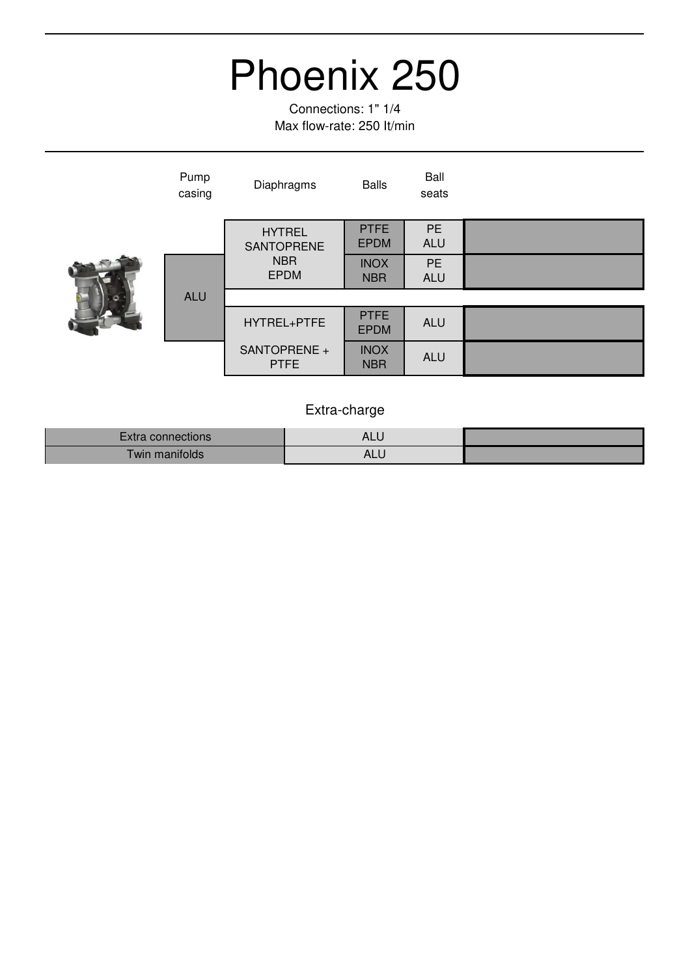Connections: 1" 1/4 Max flow-rate: 250 It/min

| Pump<br>casing | Diaphragms                  | <b>Balls</b>               | Ball<br>seats           |  |
|----------------|-----------------------------|----------------------------|-------------------------|--|
|                | <b>HYTREL</b><br>SANTOPRENE | <b>PTFE</b><br><b>EPDM</b> | <b>PE</b><br><b>ALU</b> |  |
|                | <b>NBR</b><br><b>EPDM</b>   | <b>INOX</b><br><b>NBR</b>  | <b>PE</b><br><b>ALU</b> |  |
| <b>ALU</b>     |                             |                            |                         |  |
|                | HYTREL+PTFE                 | <b>PTFE</b><br><b>EPDM</b> | <b>ALU</b>              |  |
|                | SANTOPRENE +<br><b>PTFE</b> | <b>INOX</b><br><b>NBR</b>  | <b>ALU</b>              |  |

| connections   | $\Lambda$<br>ᅮ |  |
|---------------|----------------|--|
| win manifolds | AL.            |  |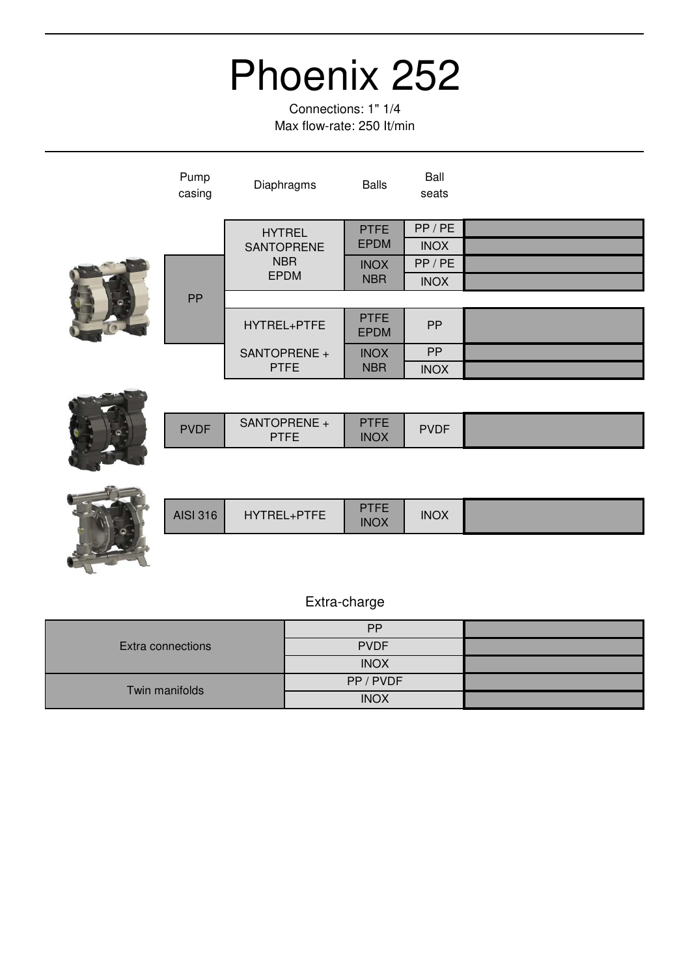Connections: 1" 1/4 Max flow-rate: 250 It/min

| Pump<br>casing | Diaphragms                  | <b>Balls</b>               | Ball<br>seats |  |
|----------------|-----------------------------|----------------------------|---------------|--|
|                | <b>HYTREL</b>               | <b>PTFE</b>                | PP/PE         |  |
|                | SANTOPRENE                  | <b>EPDM</b>                | <b>INOX</b>   |  |
|                | <b>NBR</b>                  | <b>INOX</b>                | PP/PE         |  |
|                | <b>EPDM</b>                 | <b>NBR</b>                 | <b>INOX</b>   |  |
| PP             |                             |                            |               |  |
|                | HYTREL+PTFE                 | <b>PTFE</b><br><b>EPDM</b> | PP            |  |
|                | SANTOPRENE +<br><b>PTFE</b> | <b>INOX</b><br><b>NBR</b>  | <b>PP</b>     |  |
|                |                             |                            | <b>INOX</b>   |  |
|                |                             |                            |               |  |
| <b>PVDF</b>    | SANTOPRENE +<br><b>PTFE</b> | <b>PTFE</b><br><b>INOX</b> | <b>PVDF</b>   |  |
|                |                             |                            |               |  |
|                |                             |                            |               |  |
|                |                             | <b>PTFF</b>                |               |  |



| <b>AISI 316</b><br>HYTREL+PTFE | <b>PTEE</b><br><b>INOX</b> | <b>INOX</b> |  |
|--------------------------------|----------------------------|-------------|--|
|--------------------------------|----------------------------|-------------|--|

|                   | <b>PP</b>   |  |
|-------------------|-------------|--|
| Extra connections | <b>PVDF</b> |  |
|                   | <b>INOX</b> |  |
| Twin manifolds    | PP/PVDF     |  |
|                   | <b>INOX</b> |  |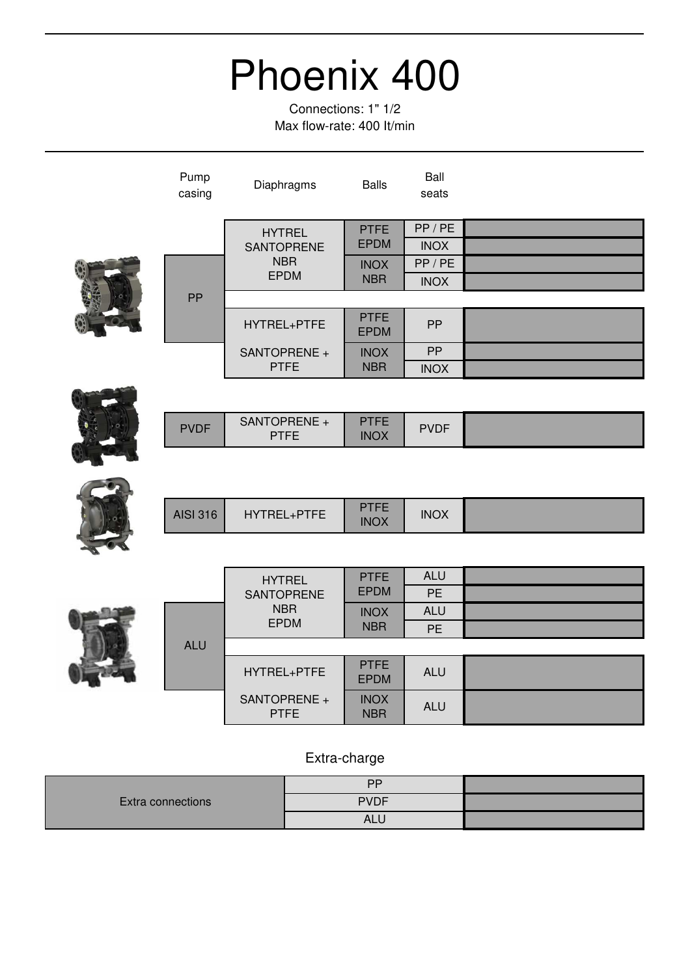Connections: 1" 1/2 Max flow-rate: 400 It/min

|  | Pump<br>casing  | Diaphragms                         | <b>Balls</b>               | Ball<br>seats          |  |
|--|-----------------|------------------------------------|----------------------------|------------------------|--|
|  |                 | <b>HYTREL</b><br><b>SANTOPRENE</b> | <b>PTFE</b><br><b>EPDM</b> | PP / PE<br><b>INOX</b> |  |
|  |                 | <b>NBR</b>                         | <b>INOX</b><br><b>NBR</b>  | PP / PE                |  |
|  |                 | <b>EPDM</b>                        |                            | <b>INOX</b>            |  |
|  | PP              |                                    |                            |                        |  |
|  |                 | HYTREL+PTFE                        | <b>PTFE</b><br><b>EPDM</b> | PP                     |  |
|  |                 | SANTOPRENE +                       | <b>INOX</b>                | PP                     |  |
|  |                 | <b>PTFE</b>                        | <b>NBR</b>                 | <b>INOX</b>            |  |
|  |                 |                                    |                            |                        |  |
|  | <b>PVDF</b>     | SANTOPRENE +<br><b>PTFE</b>        | <b>PTFE</b><br><b>INOX</b> | <b>PVDF</b>            |  |
|  |                 |                                    |                            |                        |  |
|  | <b>AISI 316</b> | HYTREL+PTFE                        | <b>PTFE</b><br><b>INOX</b> | <b>INOX</b>            |  |
|  |                 |                                    |                            |                        |  |
|  |                 | <b>HYTREL</b>                      | <b>PTFE</b>                | <b>ALU</b>             |  |
|  |                 | <b>SANTOPRENE</b>                  | <b>EPDM</b>                | <b>PE</b>              |  |
|  |                 | <b>NBR</b><br><b>EPDM</b>          | <b>INOX</b>                | <b>ALU</b>             |  |
|  |                 |                                    | <b>NBR</b>                 | <b>PE</b>              |  |
|  | <b>ALU</b>      |                                    |                            |                        |  |
|  |                 | HYTREL+PTFE                        | <b>PTFE</b><br><b>EPDM</b> | <b>ALU</b>             |  |
|  |                 | SANTOPRENE +<br><b>PTFE</b>        | <b>INOX</b><br><b>NBR</b>  | <b>ALU</b>             |  |

|                          | DD          |  |
|--------------------------|-------------|--|
| <b>Extra connections</b> | <b>PVDF</b> |  |
|                          | AL.         |  |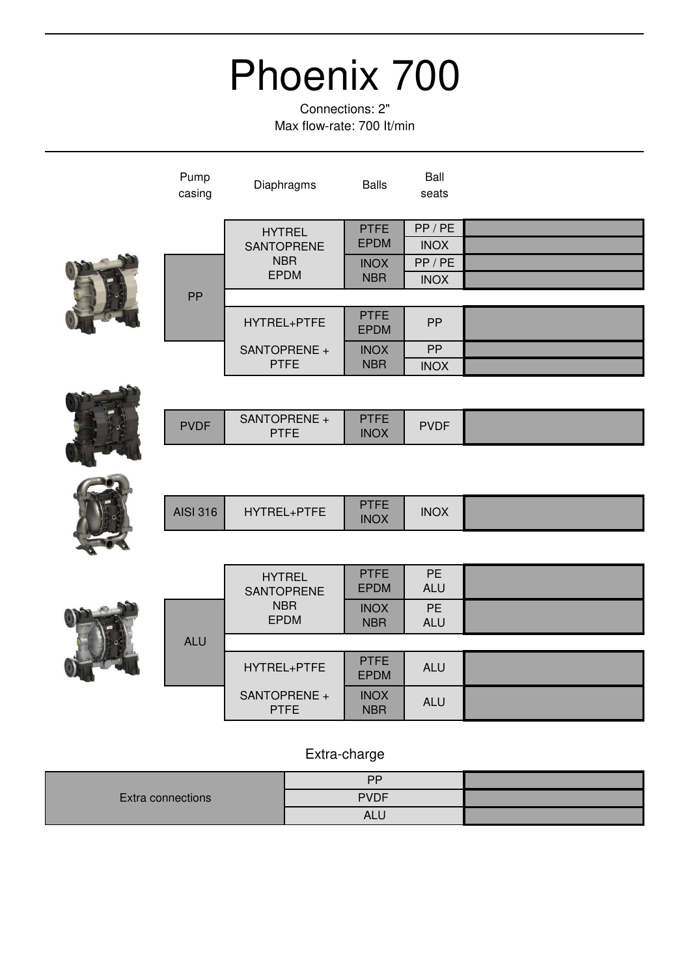Connections: 2" Max flow-rate: 700 It/min

| Pump<br>casing  | Diaphragms                  | <b>Balls</b>               | Ball<br>seats |  |
|-----------------|-----------------------------|----------------------------|---------------|--|
|                 | <b>HYTREL</b>               | <b>PTFE</b>                | PP/PE         |  |
|                 | <b>SANTOPRENE</b>           | <b>EPDM</b>                | <b>INOX</b>   |  |
|                 | <b>NBR</b>                  | <b>INOX</b>                | PP/PE         |  |
|                 | <b>EPDM</b>                 | <b>NBR</b>                 | <b>INOX</b>   |  |
| PP              |                             |                            |               |  |
|                 | HYTREL+PTFE                 | <b>PTFE</b><br><b>EPDM</b> | PP            |  |
|                 | SANTOPRENE +                | <b>INOX</b>                | PP            |  |
|                 | <b>PTFE</b>                 | <b>NBR</b>                 | <b>INOX</b>   |  |
|                 |                             |                            |               |  |
| <b>PVDF</b>     | SANTOPRENE +<br><b>PTFE</b> | <b>PTFE</b><br><b>INOX</b> | <b>PVDF</b>   |  |
|                 |                             |                            |               |  |
| <b>AISI 316</b> | HYTREL+PTFE                 | <b>PTFE</b><br><b>INOX</b> | <b>INOX</b>   |  |

|            | <b>HYTREL</b><br>SANTOPRENE | <b>PTFE</b><br><b>EPDM</b> | <b>PE</b><br><b>ALU</b> |  |
|------------|-----------------------------|----------------------------|-------------------------|--|
|            | <b>NBR</b><br><b>EPDM</b>   | <b>INOX</b><br><b>NBR</b>  | <b>PE</b><br><b>ALU</b> |  |
| <b>ALU</b> |                             |                            |                         |  |
|            | HYTREL+PTFE                 | <b>PTFE</b><br><b>EPDM</b> | <b>ALU</b>              |  |
|            | SANTOPRENE +<br><b>PTFE</b> | <b>INOX</b><br><b>NBR</b>  | <b>ALU</b>              |  |

|                   | <b>DD</b>   |  |
|-------------------|-------------|--|
| Extra connections | <b>PVDF</b> |  |
|                   | ALl         |  |